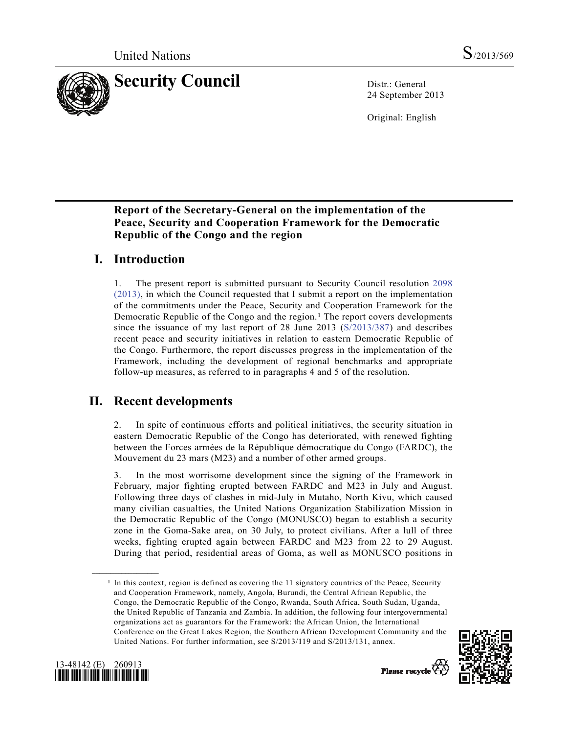

24 September 2013

Original: English

### **Report of the Secretary-General on the implementation of the Peace, Security and Cooperation Framework for the Democratic Republic of the Congo and the region**

# **I. Introduction**

1. The present report is submitted pursuant to Security Council resolution 2098 (2013), in which the Council requested that I submit a report on the implementation of the commitments under the Peace, Security and Cooperation Framework for the Democratic Republic of the Congo and the region.<sup>1</sup> The report covers developments since the issuance of my last report of 28 June 2013 (S/2013/387) and describes recent peace and security initiatives in relation to eastern Democratic Republic of the Congo. Furthermore, the report discusses progress in the implementation of the Framework, including the development of regional benchmarks and appropriate follow-up measures, as referred to in paragraphs 4 and 5 of the resolution.

# **II. Recent developments**

2. In spite of continuous efforts and political initiatives, the security situation in eastern Democratic Republic of the Congo has deteriorated, with renewed fighting between the Forces armées de la République démocratique du Congo (FARDC), the Mouvement du 23 mars (M23) and a number of other armed groups.

3. In the most worrisome development since the signing of the Framework in February, major fighting erupted between FARDC and M23 in July and August. Following three days of clashes in mid-July in Mutaho, North Kivu, which caused many civilian casualties, the United Nations Organization Stabilization Mission in the Democratic Republic of the Congo (MONUSCO) began to establish a security zone in the Goma-Sake area, on 30 July, to protect civilians. After a lull of three weeks, fighting erupted again between FARDC and M23 from 22 to 29 August. During that period, residential areas of Goma, as well as MONUSCO positions in

<sup>&</sup>lt;sup>1</sup> In this context, region is defined as covering the 11 signatory countries of the Peace, Security and Cooperation Framework, namely, Angola, Burundi, the Central African Republic, the Congo, the Democratic Republic of the Congo, Rwanda, South Africa, South Sudan, Uganda, the United Republic of Tanzania and Zambia. In addition, the following four intergovernmental organizations act as guarantors for the Framework: the African Union, the International Conference on the Great Lakes Region, the Southern African Development Community and the United Nations. For further information, see S/2013/119 and S/2013/131, annex.





**\_\_\_\_\_\_\_\_\_\_\_\_\_\_\_\_\_\_**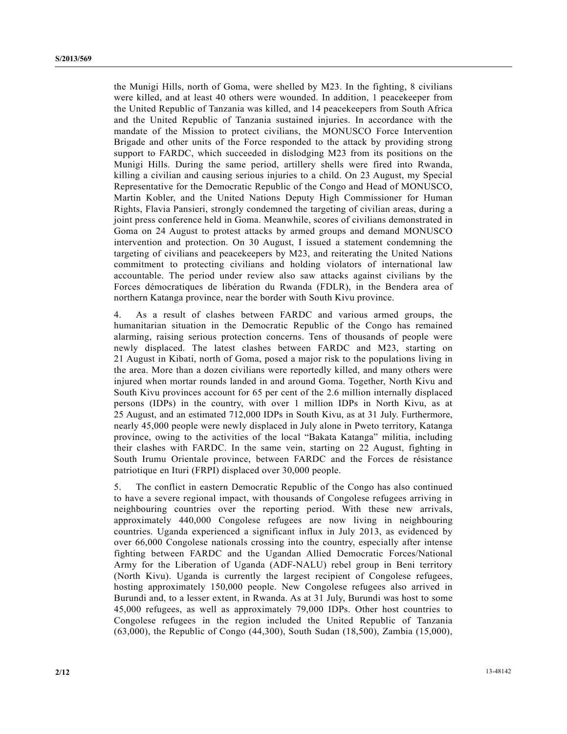the Munigi Hills, north of Goma, were shelled by M23. In the fighting, 8 civilians were killed, and at least 40 others were wounded. In addition, 1 peacekeeper from the United Republic of Tanzania was killed, and 14 peacekeepers from South Africa and the United Republic of Tanzania sustained injuries. In accordance with the mandate of the Mission to protect civilians, the MONUSCO Force Intervention Brigade and other units of the Force responded to the attack by providing strong support to FARDC, which succeeded in dislodging M23 from its positions on the Munigi Hills. During the same period, artillery shells were fired into Rwanda, killing a civilian and causing serious injuries to a child. On 23 August, my Special Representative for the Democratic Republic of the Congo and Head of MONUSCO, Martin Kobler, and the United Nations Deputy High Commissioner for Human Rights, Flavia Pansieri, strongly condemned the targeting of civilian areas, during a joint press conference held in Goma. Meanwhile, scores of civilians demonstrated in Goma on 24 August to protest attacks by armed groups and demand MONUSCO intervention and protection. On 30 August, I issued a statement condemning the targeting of civilians and peacekeepers by M23, and reiterating the United Nations commitment to protecting civilians and holding violators of international law accountable. The period under review also saw attacks against civilians by the Forces démocratiques de libération du Rwanda (FDLR), in the Bendera area of northern Katanga province, near the border with South Kivu province.

4. As a result of clashes between FARDC and various armed groups, the humanitarian situation in the Democratic Republic of the Congo has remained alarming, raising serious protection concerns. Tens of thousands of people were newly displaced. The latest clashes between FARDC and M23, starting on 21 August in Kibati, north of Goma, posed a major risk to the populations living in the area. More than a dozen civilians were reportedly killed, and many others were injured when mortar rounds landed in and around Goma. Together, North Kivu and South Kivu provinces account for 65 per cent of the 2.6 million internally displaced persons (IDPs) in the country, with over 1 million IDPs in North Kivu, as at 25 August, and an estimated 712,000 IDPs in South Kivu, as at 31 July. Furthermore, nearly 45,000 people were newly displaced in July alone in Pweto territory, Katanga province, owing to the activities of the local "Bakata Katanga" militia, including their clashes with FARDC. In the same vein, starting on 22 August, fighting in South Irumu Orientale province, between FARDC and the Forces de résistance patriotique en Ituri (FRPI) displaced over 30,000 people.

5. The conflict in eastern Democratic Republic of the Congo has also continued to have a severe regional impact, with thousands of Congolese refugees arriving in neighbouring countries over the reporting period. With these new arrivals, approximately 440,000 Congolese refugees are now living in neighbouring countries. Uganda experienced a significant influx in July 2013, as evidenced by over 66,000 Congolese nationals crossing into the country, especially after intense fighting between FARDC and the Ugandan Allied Democratic Forces/National Army for the Liberation of Uganda (ADF-NALU) rebel group in Beni territory (North Kivu). Uganda is currently the largest recipient of Congolese refugees, hosting approximately 150,000 people. New Congolese refugees also arrived in Burundi and, to a lesser extent, in Rwanda. As at 31 July, Burundi was host to some 45,000 refugees, as well as approximately 79,000 IDPs. Other host countries to Congolese refugees in the region included the United Republic of Tanzania (63,000), the Republic of Congo (44,300), South Sudan (18,500), Zambia (15,000),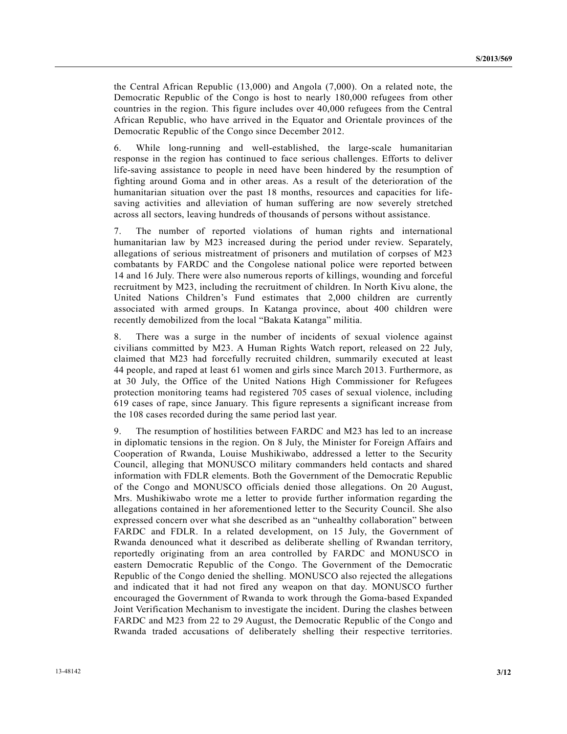the Central African Republic (13,000) and Angola (7,000). On a related note, the Democratic Republic of the Congo is host to nearly 180,000 refugees from other countries in the region. This figure includes over 40,000 refugees from the Central African Republic, who have arrived in the Equator and Orientale provinces of the Democratic Republic of the Congo since December 2012.

6. While long-running and well-established, the large-scale humanitarian response in the region has continued to face serious challenges. Efforts to deliver life-saving assistance to people in need have been hindered by the resumption of fighting around Goma and in other areas. As a result of the deterioration of the humanitarian situation over the past 18 months, resources and capacities for lifesaving activities and alleviation of human suffering are now severely stretched across all sectors, leaving hundreds of thousands of persons without assistance.

7. The number of reported violations of human rights and international humanitarian law by M23 increased during the period under review. Separately, allegations of serious mistreatment of prisoners and mutilation of corpses of M23 combatants by FARDC and the Congolese national police were reported between 14 and 16 July. There were also numerous reports of killings, wounding and forceful recruitment by M23, including the recruitment of children. In North Kivu alone, the United Nations Children's Fund estimates that 2,000 children are currently associated with armed groups. In Katanga province, about 400 children were recently demobilized from the local "Bakata Katanga" militia.

8. There was a surge in the number of incidents of sexual violence against civilians committed by M23. A Human Rights Watch report, released on 22 July, claimed that M23 had forcefully recruited children, summarily executed at least 44 people, and raped at least 61 women and girls since March 2013. Furthermore, as at 30 July, the Office of the United Nations High Commissioner for Refugees protection monitoring teams had registered 705 cases of sexual violence, including 619 cases of rape, since January. This figure represents a significant increase from the 108 cases recorded during the same period last year.

9. The resumption of hostilities between FARDC and M23 has led to an increase in diplomatic tensions in the region. On 8 July, the Minister for Foreign Affairs and Cooperation of Rwanda, Louise Mushikiwabo, addressed a letter to the Security Council, alleging that MONUSCO military commanders held contacts and shared information with FDLR elements. Both the Government of the Democratic Republic of the Congo and MONUSCO officials denied those allegations. On 20 August, Mrs. Mushikiwabo wrote me a letter to provide further information regarding the allegations contained in her aforementioned letter to the Security Council. She also expressed concern over what she described as an "unhealthy collaboration" between FARDC and FDLR. In a related development, on 15 July, the Government of Rwanda denounced what it described as deliberate shelling of Rwandan territory, reportedly originating from an area controlled by FARDC and MONUSCO in eastern Democratic Republic of the Congo. The Government of the Democratic Republic of the Congo denied the shelling. MONUSCO also rejected the allegations and indicated that it had not fired any weapon on that day. MONUSCO further encouraged the Government of Rwanda to work through the Goma-based Expanded Joint Verification Mechanism to investigate the incident. During the clashes between FARDC and M23 from 22 to 29 August, the Democratic Republic of the Congo and Rwanda traded accusations of deliberately shelling their respective territories.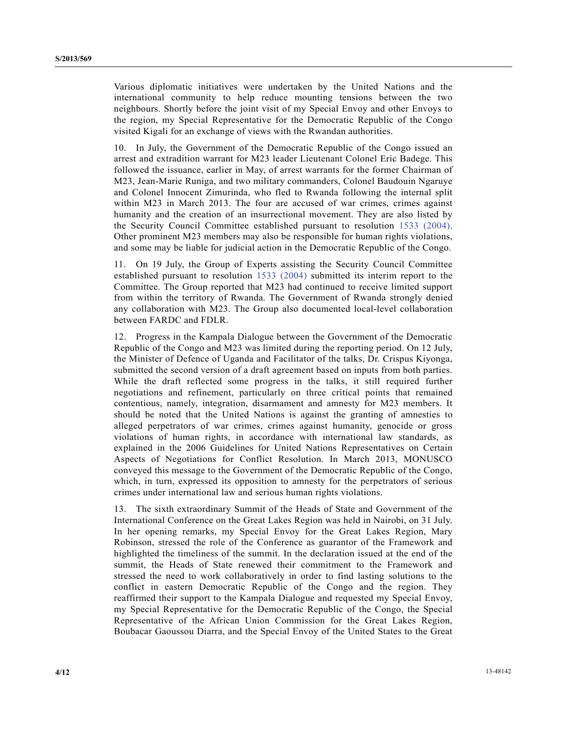Various diplomatic initiatives were undertaken by the United Nations and the international community to help reduce mounting tensions between the two neighbours. Shortly before the joint visit of my Special Envoy and other Envoys to the region, my Special Representative for the Democratic Republic of the Congo visited Kigali for an exchange of views with the Rwandan authorities.

10. In July, the Government of the Democratic Republic of the Congo issued an arrest and extradition warrant for M23 leader Lieutenant Colonel Eric Badege. This followed the issuance, earlier in May, of arrest warrants for the former Chairman of M23, Jean-Marie Runiga, and two military commanders, Colonel Baudouin Ngaruye and Colonel Innocent Zimurinda, who fled to Rwanda following the internal split within M23 in March 2013. The four are accused of war crimes, crimes against humanity and the creation of an insurrectional movement. They are also listed by the Security Council Committee established pursuant to resolution 1533 (2004). Other prominent M23 members may also be responsible for human rights violations, and some may be liable for judicial action in the Democratic Republic of the Congo.

11. On 19 July, the Group of Experts assisting the Security Council Committee established pursuant to resolution 1533 (2004) submitted its interim report to the Committee. The Group reported that M23 had continued to receive limited support from within the territory of Rwanda. The Government of Rwanda strongly denied any collaboration with M23. The Group also documented local-level collaboration between FARDC and FDLR.

12. Progress in the Kampala Dialogue between the Government of the Democratic Republic of the Congo and M23 was limited during the reporting period. On 12 July, the Minister of Defence of Uganda and Facilitator of the talks, Dr. Crispus Kiyonga, submitted the second version of a draft agreement based on inputs from both parties. While the draft reflected some progress in the talks, it still required further negotiations and refinement, particularly on three critical points that remained contentious, namely, integration, disarmament and amnesty for M23 members. It should be noted that the United Nations is against the granting of amnesties to alleged perpetrators of war crimes, crimes against humanity, genocide or gross violations of human rights, in accordance with international law standards, as explained in the 2006 Guidelines for United Nations Representatives on Certain Aspects of Negotiations for Conflict Resolution. In March 2013, MONUSCO conveyed this message to the Government of the Democratic Republic of the Congo, which, in turn, expressed its opposition to amnesty for the perpetrators of serious crimes under international law and serious human rights violations.

13. The sixth extraordinary Summit of the Heads of State and Government of the International Conference on the Great Lakes Region was held in Nairobi, on 31 July. In her opening remarks, my Special Envoy for the Great Lakes Region, Mary Robinson, stressed the role of the Conference as guarantor of the Framework and highlighted the timeliness of the summit. In the declaration issued at the end of the summit, the Heads of State renewed their commitment to the Framework and stressed the need to work collaboratively in order to find lasting solutions to the conflict in eastern Democratic Republic of the Congo and the region. They reaffirmed their support to the Kampala Dialogue and requested my Special Envoy, my Special Representative for the Democratic Republic of the Congo, the Special Representative of the African Union Commission for the Great Lakes Region, Boubacar Gaoussou Diarra, and the Special Envoy of the United States to the Great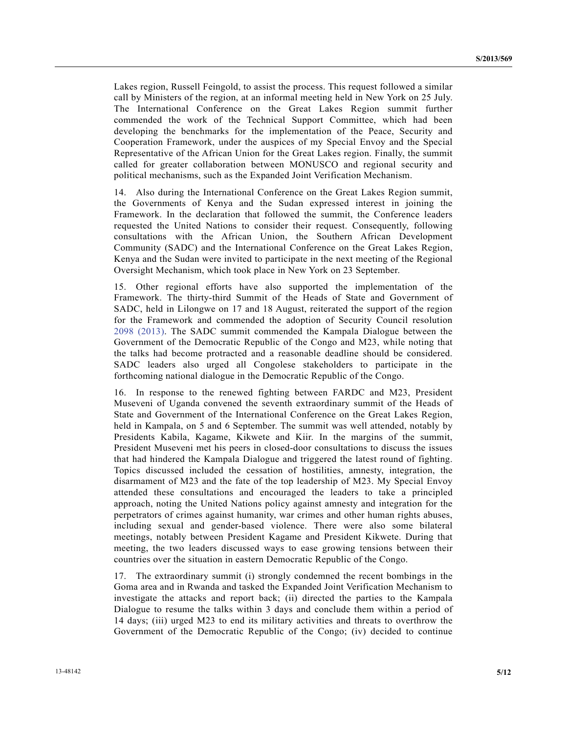Lakes region, Russell Feingold, to assist the process. This request followed a similar call by Ministers of the region, at an informal meeting held in New York on 25 July. The International Conference on the Great Lakes Region summit further commended the work of the Technical Support Committee, which had been developing the benchmarks for the implementation of the Peace, Security and Cooperation Framework, under the auspices of my Special Envoy and the Special Representative of the African Union for the Great Lakes region. Finally, the summit called for greater collaboration between MONUSCO and regional security and political mechanisms, such as the Expanded Joint Verification Mechanism.

14. Also during the International Conference on the Great Lakes Region summit, the Governments of Kenya and the Sudan expressed interest in joining the Framework. In the declaration that followed the summit, the Conference leaders requested the United Nations to consider their request. Consequently, following consultations with the African Union, the Southern African Development Community (SADC) and the International Conference on the Great Lakes Region, Kenya and the Sudan were invited to participate in the next meeting of the Regional Oversight Mechanism, which took place in New York on 23 September.

15. Other regional efforts have also supported the implementation of the Framework. The thirty-third Summit of the Heads of State and Government of SADC, held in Lilongwe on 17 and 18 August, reiterated the support of the region for the Framework and commended the adoption of Security Council resolution 2098 (2013). The SADC summit commended the Kampala Dialogue between the Government of the Democratic Republic of the Congo and M23, while noting that the talks had become protracted and a reasonable deadline should be considered. SADC leaders also urged all Congolese stakeholders to participate in the forthcoming national dialogue in the Democratic Republic of the Congo.

16. In response to the renewed fighting between FARDC and M23, President Museveni of Uganda convened the seventh extraordinary summit of the Heads of State and Government of the International Conference on the Great Lakes Region, held in Kampala, on 5 and 6 September. The summit was well attended, notably by Presidents Kabila, Kagame, Kikwete and Kiir. In the margins of the summit, President Museveni met his peers in closed-door consultations to discuss the issues that had hindered the Kampala Dialogue and triggered the latest round of fighting. Topics discussed included the cessation of hostilities, amnesty, integration, the disarmament of M23 and the fate of the top leadership of M23. My Special Envoy attended these consultations and encouraged the leaders to take a principled approach, noting the United Nations policy against amnesty and integration for the perpetrators of crimes against humanity, war crimes and other human rights abuses, including sexual and gender-based violence. There were also some bilateral meetings, notably between President Kagame and President Kikwete. During that meeting, the two leaders discussed ways to ease growing tensions between their countries over the situation in eastern Democratic Republic of the Congo.

17. The extraordinary summit (i) strongly condemned the recent bombings in the Goma area and in Rwanda and tasked the Expanded Joint Verification Mechanism to investigate the attacks and report back; (ii) directed the parties to the Kampala Dialogue to resume the talks within 3 days and conclude them within a period of 14 days; (iii) urged M23 to end its military activities and threats to overthrow the Government of the Democratic Republic of the Congo; (iv) decided to continue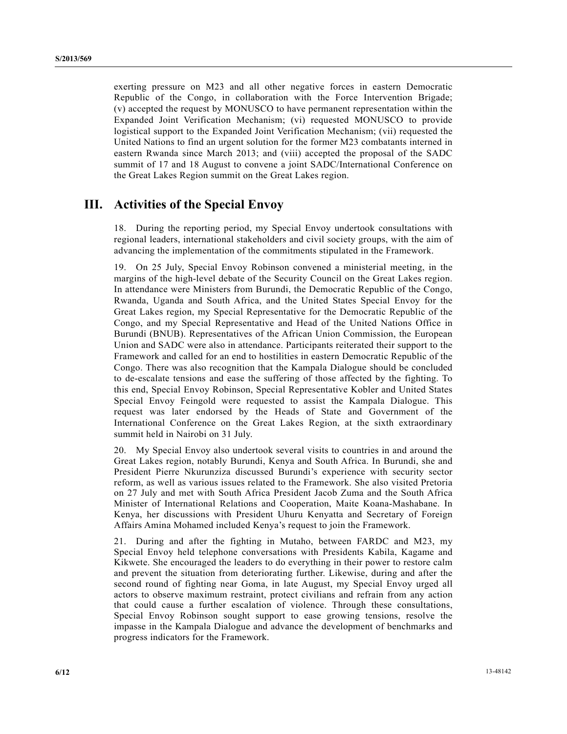exerting pressure on M23 and all other negative forces in eastern Democratic Republic of the Congo, in collaboration with the Force Intervention Brigade; (v) accepted the request by MONUSCO to have permanent representation within the Expanded Joint Verification Mechanism; (vi) requested MONUSCO to provide logistical support to the Expanded Joint Verification Mechanism; (vii) requested the United Nations to find an urgent solution for the former M23 combatants interned in eastern Rwanda since March 2013; and (viii) accepted the proposal of the SADC summit of 17 and 18 August to convene a joint SADC/International Conference on the Great Lakes Region summit on the Great Lakes region.

### **III. Activities of the Special Envoy**

18. During the reporting period, my Special Envoy undertook consultations with regional leaders, international stakeholders and civil society groups, with the aim of advancing the implementation of the commitments stipulated in the Framework.

19. On 25 July, Special Envoy Robinson convened a ministerial meeting, in the margins of the high-level debate of the Security Council on the Great Lakes region. In attendance were Ministers from Burundi, the Democratic Republic of the Congo, Rwanda, Uganda and South Africa, and the United States Special Envoy for the Great Lakes region, my Special Representative for the Democratic Republic of the Congo, and my Special Representative and Head of the United Nations Office in Burundi (BNUB). Representatives of the African Union Commission, the European Union and SADC were also in attendance. Participants reiterated their support to the Framework and called for an end to hostilities in eastern Democratic Republic of the Congo. There was also recognition that the Kampala Dialogue should be concluded to de-escalate tensions and ease the suffering of those affected by the fighting. To this end, Special Envoy Robinson, Special Representative Kobler and United States Special Envoy Feingold were requested to assist the Kampala Dialogue. This request was later endorsed by the Heads of State and Government of the International Conference on the Great Lakes Region, at the sixth extraordinary summit held in Nairobi on 31 July.

20. My Special Envoy also undertook several visits to countries in and around the Great Lakes region, notably Burundi, Kenya and South Africa. In Burundi, she and President Pierre Nkurunziza discussed Burundi's experience with security sector reform, as well as various issues related to the Framework. She also visited Pretoria on 27 July and met with South Africa President Jacob Zuma and the South Africa Minister of International Relations and Cooperation, Maite Koana-Mashabane. In Kenya, her discussions with President Uhuru Kenyatta and Secretary of Foreign Affairs Amina Mohamed included Kenya's request to join the Framework.

21. During and after the fighting in Mutaho, between FARDC and M23, my Special Envoy held telephone conversations with Presidents Kabila, Kagame and Kikwete. She encouraged the leaders to do everything in their power to restore calm and prevent the situation from deteriorating further. Likewise, during and after the second round of fighting near Goma, in late August, my Special Envoy urged all actors to observe maximum restraint, protect civilians and refrain from any action that could cause a further escalation of violence. Through these consultations, Special Envoy Robinson sought support to ease growing tensions, resolve the impasse in the Kampala Dialogue and advance the development of benchmarks and progress indicators for the Framework.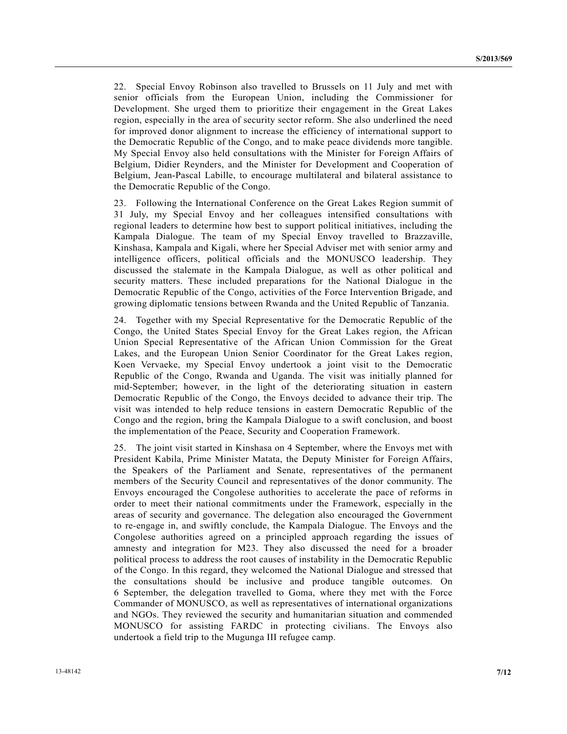22. Special Envoy Robinson also travelled to Brussels on 11 July and met with senior officials from the European Union, including the Commissioner for Development. She urged them to prioritize their engagement in the Great Lakes region, especially in the area of security sector reform. She also underlined the need for improved donor alignment to increase the efficiency of international support to the Democratic Republic of the Congo, and to make peace dividends more tangible. My Special Envoy also held consultations with the Minister for Foreign Affairs of Belgium, Didier Reynders, and the Minister for Development and Cooperation of Belgium, Jean-Pascal Labille, to encourage multilateral and bilateral assistance to the Democratic Republic of the Congo.

23. Following the International Conference on the Great Lakes Region summit of 31 July, my Special Envoy and her colleagues intensified consultations with regional leaders to determine how best to support political initiatives, including the Kampala Dialogue. The team of my Special Envoy travelled to Brazzaville, Kinshasa, Kampala and Kigali, where her Special Adviser met with senior army and intelligence officers, political officials and the MONUSCO leadership. They discussed the stalemate in the Kampala Dialogue, as well as other political and security matters. These included preparations for the National Dialogue in the Democratic Republic of the Congo, activities of the Force Intervention Brigade, and growing diplomatic tensions between Rwanda and the United Republic of Tanzania.

24. Together with my Special Representative for the Democratic Republic of the Congo, the United States Special Envoy for the Great Lakes region, the African Union Special Representative of the African Union Commission for the Great Lakes, and the European Union Senior Coordinator for the Great Lakes region, Koen Vervaeke, my Special Envoy undertook a joint visit to the Democratic Republic of the Congo, Rwanda and Uganda. The visit was initially planned for mid-September; however, in the light of the deteriorating situation in eastern Democratic Republic of the Congo, the Envoys decided to advance their trip. The visit was intended to help reduce tensions in eastern Democratic Republic of the Congo and the region, bring the Kampala Dialogue to a swift conclusion, and boost the implementation of the Peace, Security and Cooperation Framework.

25. The joint visit started in Kinshasa on 4 September, where the Envoys met with President Kabila, Prime Minister Matata, the Deputy Minister for Foreign Affairs, the Speakers of the Parliament and Senate, representatives of the permanent members of the Security Council and representatives of the donor community. The Envoys encouraged the Congolese authorities to accelerate the pace of reforms in order to meet their national commitments under the Framework, especially in the areas of security and governance. The delegation also encouraged the Government to re-engage in, and swiftly conclude, the Kampala Dialogue. The Envoys and the Congolese authorities agreed on a principled approach regarding the issues of amnesty and integration for M23. They also discussed the need for a broader political process to address the root causes of instability in the Democratic Republic of the Congo. In this regard, they welcomed the National Dialogue and stressed that the consultations should be inclusive and produce tangible outcomes. On 6 September, the delegation travelled to Goma, where they met with the Force Commander of MONUSCO, as well as representatives of international organizations and NGOs. They reviewed the security and humanitarian situation and commended MONUSCO for assisting FARDC in protecting civilians. The Envoys also undertook a field trip to the Mugunga III refugee camp.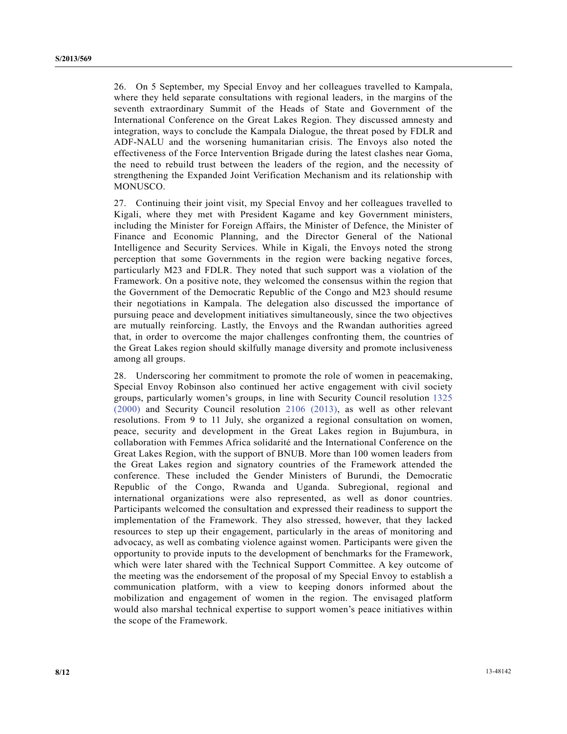26. On 5 September, my Special Envoy and her colleagues travelled to Kampala, where they held separate consultations with regional leaders, in the margins of the seventh extraordinary Summit of the Heads of State and Government of the International Conference on the Great Lakes Region. They discussed amnesty and integration, ways to conclude the Kampala Dialogue, the threat posed by FDLR and ADF-NALU and the worsening humanitarian crisis. The Envoys also noted the effectiveness of the Force Intervention Brigade during the latest clashes near Goma, the need to rebuild trust between the leaders of the region, and the necessity of strengthening the Expanded Joint Verification Mechanism and its relationship with MONUSCO.

27. Continuing their joint visit, my Special Envoy and her colleagues travelled to Kigali, where they met with President Kagame and key Government ministers, including the Minister for Foreign Affairs, the Minister of Defence, the Minister of Finance and Economic Planning, and the Director General of the National Intelligence and Security Services. While in Kigali, the Envoys noted the strong perception that some Governments in the region were backing negative forces, particularly M23 and FDLR. They noted that such support was a violation of the Framework. On a positive note, they welcomed the consensus within the region that the Government of the Democratic Republic of the Congo and M23 should resume their negotiations in Kampala. The delegation also discussed the importance of pursuing peace and development initiatives simultaneously, since the two objectives are mutually reinforcing. Lastly, the Envoys and the Rwandan authorities agreed that, in order to overcome the major challenges confronting them, the countries of the Great Lakes region should skilfully manage diversity and promote inclusiveness among all groups.

28. Underscoring her commitment to promote the role of women in peacemaking, Special Envoy Robinson also continued her active engagement with civil society groups, particularly women's groups, in line with Security Council resolution 1325 (2000) and Security Council resolution 2106 (2013), as well as other relevant resolutions. From 9 to 11 July, she organized a regional consultation on women, peace, security and development in the Great Lakes region in Bujumbura, in collaboration with Femmes Africa solidarité and the International Conference on the Great Lakes Region, with the support of BNUB. More than 100 women leaders from the Great Lakes region and signatory countries of the Framework attended the conference. These included the Gender Ministers of Burundi, the Democratic Republic of the Congo, Rwanda and Uganda. Subregional, regional and international organizations were also represented, as well as donor countries. Participants welcomed the consultation and expressed their readiness to support the implementation of the Framework. They also stressed, however, that they lacked resources to step up their engagement, particularly in the areas of monitoring and advocacy, as well as combating violence against women. Participants were given the opportunity to provide inputs to the development of benchmarks for the Framework, which were later shared with the Technical Support Committee. A key outcome of the meeting was the endorsement of the proposal of my Special Envoy to establish a communication platform, with a view to keeping donors informed about the mobilization and engagement of women in the region. The envisaged platform would also marshal technical expertise to support women's peace initiatives within the scope of the Framework.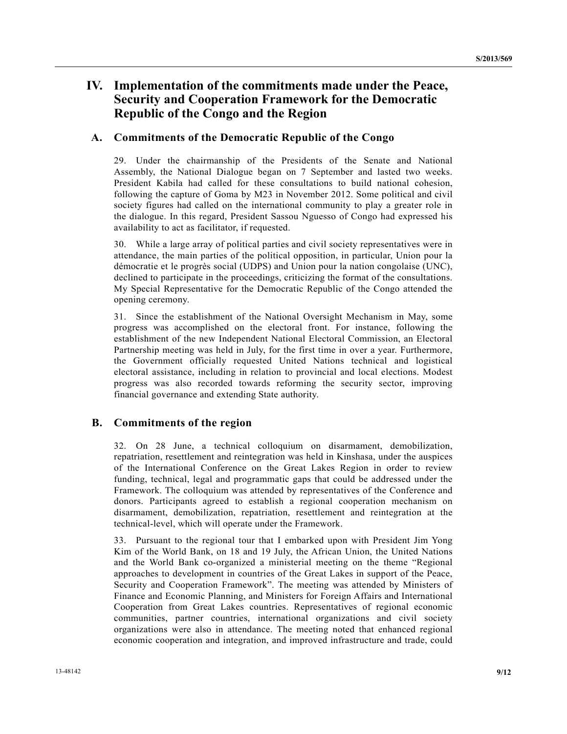# **IV. Implementation of the commitments made under the Peace, Security and Cooperation Framework for the Democratic Republic of the Congo and the Region**

#### **A. Commitments of the Democratic Republic of the Congo**

29. Under the chairmanship of the Presidents of the Senate and National Assembly, the National Dialogue began on 7 September and lasted two weeks. President Kabila had called for these consultations to build national cohesion, following the capture of Goma by M23 in November 2012. Some political and civil society figures had called on the international community to play a greater role in the dialogue. In this regard, President Sassou Nguesso of Congo had expressed his availability to act as facilitator, if requested.

30. While a large array of political parties and civil society representatives were in attendance, the main parties of the political opposition, in particular, Union pour la démocratie et le progrès social (UDPS) and Union pour la nation congolaise (UNC), declined to participate in the proceedings, criticizing the format of the consultations. My Special Representative for the Democratic Republic of the Congo attended the opening ceremony.

31. Since the establishment of the National Oversight Mechanism in May, some progress was accomplished on the electoral front. For instance, following the establishment of the new Independent National Electoral Commission, an Electoral Partnership meeting was held in July, for the first time in over a year. Furthermore, the Government officially requested United Nations technical and logistical electoral assistance, including in relation to provincial and local elections. Modest progress was also recorded towards reforming the security sector, improving financial governance and extending State authority.

#### **B. Commitments of the region**

32. On 28 June, a technical colloquium on disarmament, demobilization, repatriation, resettlement and reintegration was held in Kinshasa, under the auspices of the International Conference on the Great Lakes Region in order to review funding, technical, legal and programmatic gaps that could be addressed under the Framework. The colloquium was attended by representatives of the Conference and donors. Participants agreed to establish a regional cooperation mechanism on disarmament, demobilization, repatriation, resettlement and reintegration at the technical-level, which will operate under the Framework.

33. Pursuant to the regional tour that I embarked upon with President Jim Yong Kim of the World Bank, on 18 and 19 July, the African Union, the United Nations and the World Bank co-organized a ministerial meeting on the theme "Regional approaches to development in countries of the Great Lakes in support of the Peace, Security and Cooperation Framework". The meeting was attended by Ministers of Finance and Economic Planning, and Ministers for Foreign Affairs and International Cooperation from Great Lakes countries. Representatives of regional economic communities, partner countries, international organizations and civil society organizations were also in attendance. The meeting noted that enhanced regional economic cooperation and integration, and improved infrastructure and trade, could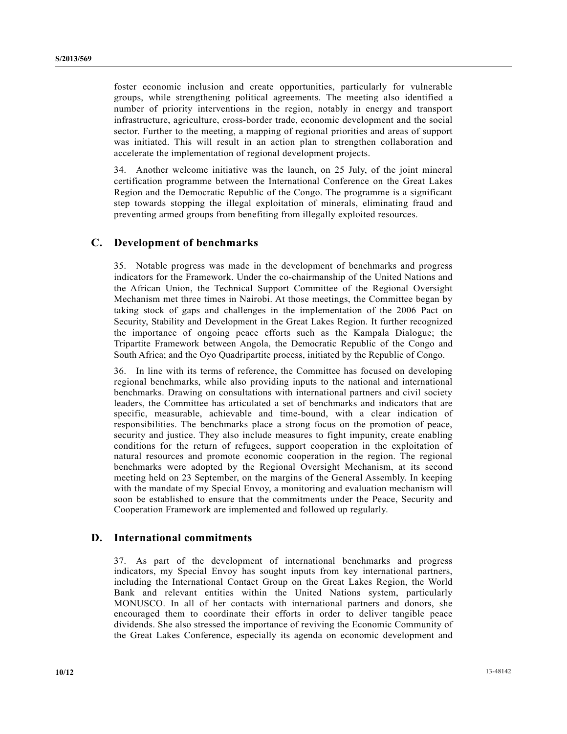foster economic inclusion and create opportunities, particularly for vulnerable groups, while strengthening political agreements. The meeting also identified a number of priority interventions in the region, notably in energy and transport infrastructure, agriculture, cross-border trade, economic development and the social sector. Further to the meeting, a mapping of regional priorities and areas of support was initiated. This will result in an action plan to strengthen collaboration and accelerate the implementation of regional development projects.

34. Another welcome initiative was the launch, on 25 July, of the joint mineral certification programme between the International Conference on the Great Lakes Region and the Democratic Republic of the Congo. The programme is a significant step towards stopping the illegal exploitation of minerals, eliminating fraud and preventing armed groups from benefiting from illegally exploited resources.

#### **C. Development of benchmarks**

35. Notable progress was made in the development of benchmarks and progress indicators for the Framework. Under the co-chairmanship of the United Nations and the African Union, the Technical Support Committee of the Regional Oversight Mechanism met three times in Nairobi. At those meetings, the Committee began by taking stock of gaps and challenges in the implementation of the 2006 Pact on Security, Stability and Development in the Great Lakes Region. It further recognized the importance of ongoing peace efforts such as the Kampala Dialogue; the Tripartite Framework between Angola, the Democratic Republic of the Congo and South Africa; and the Oyo Quadripartite process, initiated by the Republic of Congo.

36. In line with its terms of reference, the Committee has focused on developing regional benchmarks, while also providing inputs to the national and international benchmarks. Drawing on consultations with international partners and civil society leaders, the Committee has articulated a set of benchmarks and indicators that are specific, measurable, achievable and time-bound, with a clear indication of responsibilities. The benchmarks place a strong focus on the promotion of peace, security and justice. They also include measures to fight impunity, create enabling conditions for the return of refugees, support cooperation in the exploitation of natural resources and promote economic cooperation in the region. The regional benchmarks were adopted by the Regional Oversight Mechanism, at its second meeting held on 23 September, on the margins of the General Assembly. In keeping with the mandate of my Special Envoy, a monitoring and evaluation mechanism will soon be established to ensure that the commitments under the Peace, Security and Cooperation Framework are implemented and followed up regularly.

#### **D. International commitments**

37. As part of the development of international benchmarks and progress indicators, my Special Envoy has sought inputs from key international partners, including the International Contact Group on the Great Lakes Region, the World Bank and relevant entities within the United Nations system, particularly MONUSCO. In all of her contacts with international partners and donors, she encouraged them to coordinate their efforts in order to deliver tangible peace dividends. She also stressed the importance of reviving the Economic Community of the Great Lakes Conference, especially its agenda on economic development and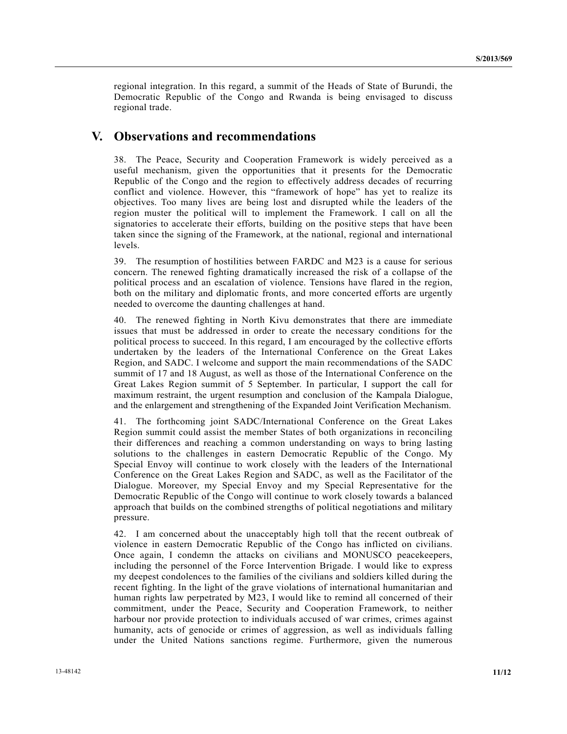regional integration. In this regard, a summit of the Heads of State of Burundi, the Democratic Republic of the Congo and Rwanda is being envisaged to discuss regional trade.

### **V. Observations and recommendations**

38. The Peace, Security and Cooperation Framework is widely perceived as a useful mechanism, given the opportunities that it presents for the Democratic Republic of the Congo and the region to effectively address decades of recurring conflict and violence. However, this "framework of hope" has yet to realize its objectives. Too many lives are being lost and disrupted while the leaders of the region muster the political will to implement the Framework. I call on all the signatories to accelerate their efforts, building on the positive steps that have been taken since the signing of the Framework, at the national, regional and international levels.

39. The resumption of hostilities between FARDC and M23 is a cause for serious concern. The renewed fighting dramatically increased the risk of a collapse of the political process and an escalation of violence. Tensions have flared in the region, both on the military and diplomatic fronts, and more concerted efforts are urgently needed to overcome the daunting challenges at hand.

40. The renewed fighting in North Kivu demonstrates that there are immediate issues that must be addressed in order to create the necessary conditions for the political process to succeed. In this regard, I am encouraged by the collective efforts undertaken by the leaders of the International Conference on the Great Lakes Region, and SADC. I welcome and support the main recommendations of the SADC summit of 17 and 18 August, as well as those of the International Conference on the Great Lakes Region summit of 5 September. In particular, I support the call for maximum restraint, the urgent resumption and conclusion of the Kampala Dialogue, and the enlargement and strengthening of the Expanded Joint Verification Mechanism.

41. The forthcoming joint SADC/International Conference on the Great Lakes Region summit could assist the member States of both organizations in reconciling their differences and reaching a common understanding on ways to bring lasting solutions to the challenges in eastern Democratic Republic of the Congo. My Special Envoy will continue to work closely with the leaders of the International Conference on the Great Lakes Region and SADC, as well as the Facilitator of the Dialogue. Moreover, my Special Envoy and my Special Representative for the Democratic Republic of the Congo will continue to work closely towards a balanced approach that builds on the combined strengths of political negotiations and military pressure.

42. I am concerned about the unacceptably high toll that the recent outbreak of violence in eastern Democratic Republic of the Congo has inflicted on civilians. Once again, I condemn the attacks on civilians and MONUSCO peacekeepers, including the personnel of the Force Intervention Brigade. I would like to express my deepest condolences to the families of the civilians and soldiers killed during the recent fighting. In the light of the grave violations of international humanitarian and human rights law perpetrated by M23, I would like to remind all concerned of their commitment, under the Peace, Security and Cooperation Framework, to neither harbour nor provide protection to individuals accused of war crimes, crimes against humanity, acts of genocide or crimes of aggression, as well as individuals falling under the United Nations sanctions regime. Furthermore, given the numerous